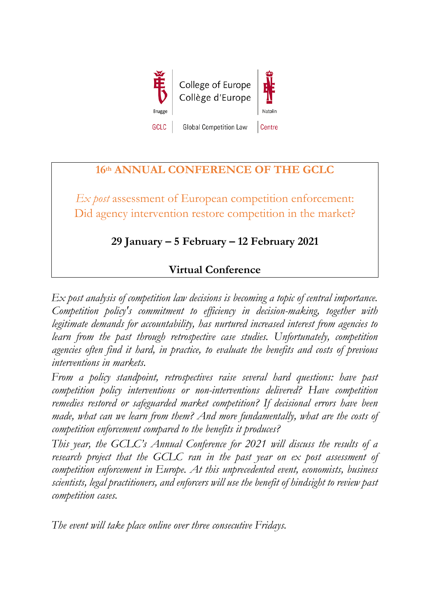

## **16th ANNUAL CONFERENCE OF THE GCLC**

*Ex post* assessment of European competition enforcement: Did agency intervention restore competition in the market?

## **29 January – 5 February – 12 February 2021**

## **Virtual Conference**

*Ex post analysis of competition law decisions is becoming a topic of central importance. Competition policy's commitment to efficiency in decision-making, together with legitimate demands for accountability, has nurtured increased interest from agencies to learn from the past through retrospective case studies. Unfortunately, competition agencies often find it hard, in practice, to evaluate the benefits and costs of previous interventions in markets.* 

*From a policy standpoint, retrospectives raise several hard questions: have past competition policy interventions or non-interventions delivered? Have competition remedies restored or safeguarded market competition? If decisional errors have been made, what can we learn from them? And more fundamentally, what are the costs of competition enforcement compared to the benefits it produces?* 

*This year, the GCLC's Annual Conference for 2021 will discuss the results of a research project that the GCLC ran in the past year on ex post assessment of competition enforcement in Europe. At this unprecedented event, economists, business scientists, legal practitioners, and enforcers will use the benefit of hindsight to review past competition cases.* 

*The event will take place online over three consecutive Fridays.*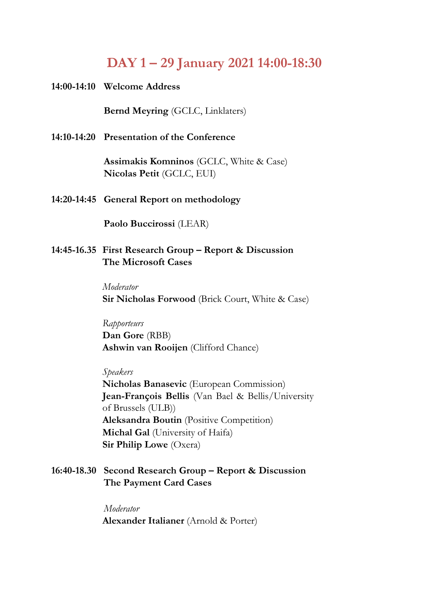# **DAY 1 – 29 January 2021 14:00-18:30**

**14:00-14:10 Welcome Address**

**Bernd Meyring** (GCLC, Linklaters)

**14:10-14:20 Presentation of the Conference** 

**Assimakis Komninos** (GCLC, White & Case) **Nicolas Petit** (GCLC, EUI)

**14:20-14:45 General Report on methodology**

**Paolo Buccirossi** (LEAR)

**14:45-16.35 First Research Group – Report & Discussion The Microsoft Cases**

> *Moderator* **Sir Nicholas Forwood** (Brick Court, White & Case)

*Rapporteurs* **Dan Gore** (RBB) **Ashwin van Rooijen** (Clifford Chance)

*Speakers*  **Nicholas Banasevic** (European Commission) **Jean-François Bellis** (Van Bael & Bellis/University of Brussels (ULB)) **Aleksandra Boutin** (Positive Competition) **Michal Gal** (University of Haifa) **Sir Philip Lowe** (Oxera)

**16:40-18.30 Second Research Group – Report & Discussion The Payment Card Cases**

> *Moderator* **Alexander Italianer** (Arnold & Porter)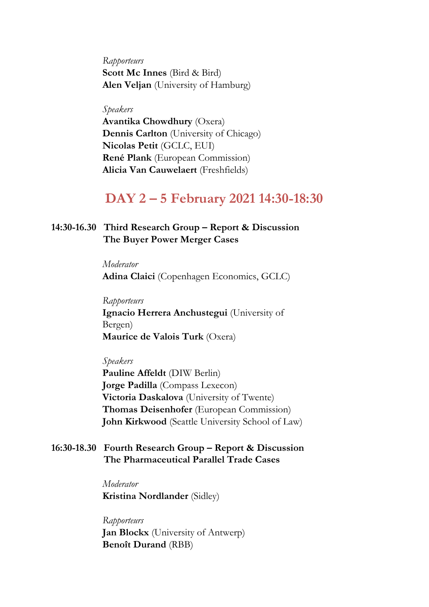*Rapporteurs* **Scott Mc Innes** (Bird & Bird) **Alen Veljan** (University of Hamburg)

#### *Speakers*

**Avantika Chowdhury** (Oxera) **Dennis Carlton** (University of Chicago) **Nicolas Petit** (GCLC, EUI) **René Plank** (European Commission) **Alicia Van Cauwelaert** (Freshfields)

## **DAY 2 – 5 February 2021 14:30-18:30**

### **14:30-16.30 Third Research Group – Report & Discussion The Buyer Power Merger Cases**

*Moderator* **Adina Claici** (Copenhagen Economics, GCLC)

*Rapporteurs* **Ignacio Herrera Anchustegui** (University of Bergen) **Maurice de Valois Turk** (Oxera)

*Speakers* 

**Pauline Affeldt** (DIW Berlin) **Jorge Padilla** (Compass Lexecon) **Victoria Daskalova** (University of Twente) **Thomas Deisenhofer** (European Commission) **John Kirkwood** (Seattle University School of Law)

### **16:30-18.30 Fourth Research Group – Report & Discussion The Pharmaceutical Parallel Trade Cases**

*Moderator* **Kristina Nordlander** (Sidley)

*Rapporteurs* **Jan Blockx** (University of Antwerp) **Benoît Durand** (RBB)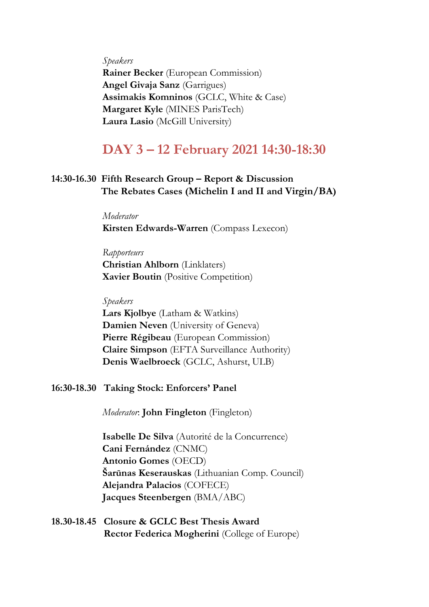#### *Speakers*

**Rainer Becker** (European Commission) **Angel Givaja Sanz** (Garrigues) **Assimakis Komninos** (GCLC, White & Case) **Margaret Kyle** (MINES ParisTech) **Laura Lasio** (McGill University)

## **DAY 3 – 12 February 2021 14:30-18:30**

### **14:30-16.30 Fifth Research Group – Report & Discussion The Rebates Cases (Michelin I and II and Virgin/BA)**

*Moderator* **Kirsten Edwards-Warren** (Compass Lexecon)

#### *Rapporteurs*

**Christian Ahlborn** (Linklaters) **Xavier Boutin** (Positive Competition)

#### *Speakers*

**Lars Kjolbye** (Latham & Watkins) **Damien Neven** (University of Geneva) **Pierre Régibeau** (European Commission) **Claire Simpson** (EFTA Surveillance Authority) **Denis Waelbroeck** (GCLC, Ashurst, ULB)

#### **16:30-18.30 Taking Stock: Enforcers' Panel**

*Moderator*: **John Fingleton** (Fingleton)

**Isabelle De Silva** (Autorité de la Concurrence) **Cani Fernández** (CNMC) **Antonio Gomes** (OECD) **Šarūnas Keserauskas** (Lithuanian Comp. Council) **Alejandra Palacios** (COFECE) **Jacques Steenbergen** (BMA/ABC)

**18.30-18.45 Closure & GCLC Best Thesis Award Rector Federica Mogherini** (College of Europe)